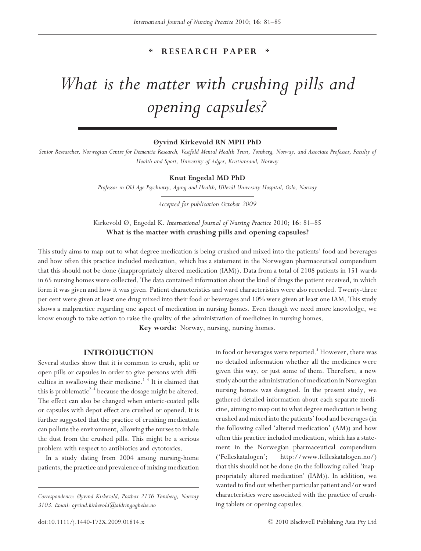# **RESEARCH PAPER**

# *What is the matter with crushing pills and opening capsules?*

# **Øyvind Kirkevold RN MPH PhD**

*Senior Researcher, Norwegian Centre for Dementia Research, Vestfold Mental Health Trust, Tønsberg, Norway, and Associate Professor, Faculty of Health and Sport, University of Adger, Kristiansand, Norway*

#### **Knut Engedal MD PhD**

*Professor in Old Age Psychiatry, Aging and Health, Ullevål University Hospital, Oslo, Norway*

*Accepted for publication October 2009*

Kirkevold Ø, Engedal K. *International Journal of Nursing Practice* 2010; **16**: 81–85 **What is the matter with crushing pills and opening capsules?**

This study aims to map out to what degree medication is being crushed and mixed into the patients' food and beverages and how often this practice included medication, which has a statement in the Norwegian pharmaceutical compendium that this should not be done (inappropriately altered medication (IAM)). Data from a total of 2108 patients in 151 wards in 65 nursing homes were collected. The data contained information about the kind of drugs the patient received, in which form it was given and how it was given. Patient characteristics and ward characteristics were also recorded. Twenty-three per cent were given at least one drug mixed into their food or beverages and 10% were given at least one IAM. This study shows a malpractice regarding one aspect of medication in nursing homes. Even though we need more knowledge, we know enough to take action to raise the quality of the administration of medicines in nursing homes.

**Key words:** Norway, nursing, nursing homes.

# **INTRODUCTION**

Several studies show that it is common to crush, split or open pills or capsules in order to give persons with difficulties in swallowing their medicine.<sup>1–4</sup> It is claimed that this is problematic<sup>2-4</sup> because the dosage might be altered. The effect can also be changed when enteric-coated pills or capsules with depot effect are crushed or opened. It is further suggested that the practice of crushing medication can pollute the environment, allowing the nurses to inhale the dust from the crushed pills. This might be a serious problem with respect to antibiotics and cytotoxics.

In a study dating from 2004 among nursing-home patients, the practice and prevalence of mixing medication in food or beverages were reported.<sup>5</sup> However, there was no detailed information whether all the medicines were given this way, or just some of them. Therefore, a new study about the administration of medication in Norwegian nursing homes was designed. In the present study, we gathered detailed information about each separate medicine, aiming to map out to what degree medication is being crushed and mixed into the patients' food and beverages (in the following called 'altered medication' (AM)) and how often this practice included medication, which has a statement in the Norwegian pharmaceutical compendium ('Felleskatalogen'; http://www.felleskatalogen.no/) that this should not be done (in the following called 'inappropriately altered medication' (IAM)). In addition, we wanted to find out whether particular patient and/or ward characteristics were associated with the practice of crushing tablets or opening capsules.

*Correspondence: Øyvind Kirkevold, Postbox 2136 Tønsberg, Norway 3103. Email: oyvind.kirkevold@aldringoghelse.no*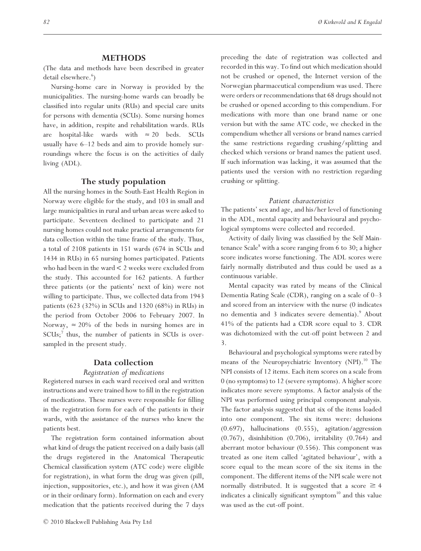# **METHODS**

(The data and methods have been described in greater detail elsewhere.<sup>6</sup>)

Nursing-home care in Norway is provided by the municipalities. The nursing-home wards can broadly be classified into regular units (RUs) and special care units for persons with dementia (SCUs). Some nursing homes have, in addition, respite and rehabilitation wards. RUs are hospital-like wards with  $\approx 20$  beds. SCUs usually have 6–12 beds and aim to provide homely surroundings where the focus is on the activities of daily living (ADL).

## **The study population**

All the nursing homes in the South-East Health Region in Norway were eligible for the study, and 103 in small and large municipalities in rural and urban areas were asked to participate. Seventeen declined to participate and 21 nursing homes could not make practical arrangements for data collection within the time frame of the study. Thus, a total of 2108 patients in 151 wards (674 in SCUs and 1434 in RUs) in 65 nursing homes participated. Patients who had been in the ward < 2 weeks were excluded from the study. This accounted for 162 patients. A further three patients (or the patients' next of kin) were not willing to participate. Thus, we collected data from 1943 patients (623 (32%) in SCUs and 1320 (68%) in RUs) in the period from October 2006 to February 2007. In Norway,  $\approx 20\%$  of the beds in nursing homes are in  $SCUs$ ;<sup>7</sup> thus, the number of patients in  $SCUs$  is oversampled in the present study.

# **Data collection**

#### *Registration of medications*

Registered nurses in each ward received oral and written instructions and were trained how to fill in the registration of medications. These nurses were responsible for filling in the registration form for each of the patients in their wards, with the assistance of the nurses who knew the patients best.

The registration form contained information about what kind of drugs the patient received on a daily basis (all the drugs registered in the Anatomical Therapeutic Chemical classification system (ATC code) were eligible for registration), in what form the drug was given (pill, injection, suppositories, etc.), and how it was given (AM or in their ordinary form). Information on each and every medication that the patients received during the 7 days preceding the date of registration was collected and recorded in this way. To find out which medication should not be crushed or opened, the Internet version of the Norwegian pharmaceutical compendium was used. There were orders or recommendations that 68 drugs should not be crushed or opened according to this compendium. For medications with more than one brand name or one version but with the same ATC code, we checked in the compendium whether all versions or brand names carried the same restrictions regarding crushing/splitting and checked which versions or brand names the patient used. If such information was lacking, it was assumed that the patients used the version with no restriction regarding crushing or splitting.

#### *Patient characteristics*

The patients' sex and age, and his/her level of functioning in the ADL, mental capacity and behavioural and psychological symptoms were collected and recorded.

Activity of daily living was classified by the Self Maintenance Scale<sup>8</sup> with a score ranging from 6 to 30; a higher score indicates worse functioning. The ADL scores were fairly normally distributed and thus could be used as a continuous variable.

Mental capacity was rated by means of the Clinical Dementia Rating Scale (CDR), ranging on a scale of 0–3 and scored from an interview with the nurse (0 indicates no dementia and 3 indicates severe dementia).<sup>9</sup> About 41% of the patients had a CDR score equal to 3. CDR was dichotomized with the cut-off point between 2 and 3.

Behavioural and psychological symptoms were rated by means of the Neuropsychiatric Inventory (NPI).<sup>10</sup> The NPI consists of 12 items. Each item scores on a scale from 0 (no symptoms) to 12 (severe symptoms). A higher score indicates more severe symptoms. A factor analysis of the NPI was performed using principal component analysis. The factor analysis suggested that six of the items loaded into one component. The six items were: delusions (0.697), hallucinations (0.555), agitation/aggression (0.767), disinhibition (0.706), irritability (0.764) and aberrant motor behaviour (0.556). This component was treated as one item called 'agitated behaviour', with a score equal to the mean score of the six items in the component. The different items of the NPI scale were not normally distributed. It is suggested that a score  $\geq 4$ indicates a clinically significant symptom<sup>10</sup> and this value was used as the cut-off point.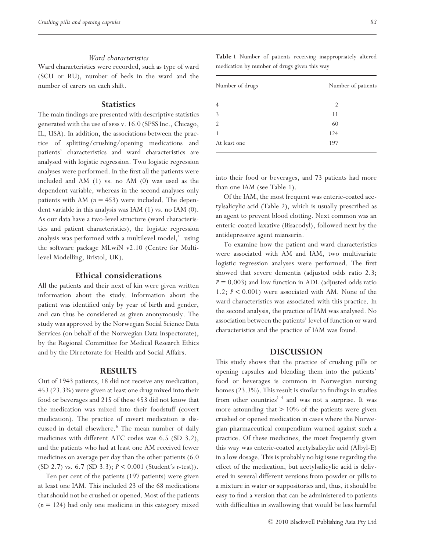#### *Ward characteristics*

Ward characteristics were recorded, such as type of ward (SCU or RU), number of beds in the ward and the number of carers on each shift.

# **Statistics**

The main findings are presented with descriptive statistics generated with the use of spss v. 16.0 (SPSS Inc., Chicago, IL, USA). In addition, the associations between the practice of splitting/crushing/opening medications and patients' characteristics and ward characteristics are analysed with logistic regression. Two logistic regression analyses were performed. In the first all the patients were included and AM (1) vs. no AM (0) was used as the dependent variable, whereas in the second analyses only patients with AM  $(n = 453)$  were included. The dependent variable in this analysis was IAM (1) vs. no IAM (0). As our data have a two-level structure (ward characteristics and patient characteristics), the logistic regression analysis was performed with a multilevel model, $11$  using the software package MLwiN v2.10 (Centre for Multilevel Modelling, Bristol, UK).

## **Ethical considerations**

All the patients and their next of kin were given written information about the study. Information about the patient was identified only by year of birth and gender, and can thus be considered as given anonymously. The study was approved by the Norwegian Social Science Data Services (on behalf of the Norwegian Data Inspectorate), by the Regional Committee for Medical Research Ethics and by the Directorate for Health and Social Affairs.

#### **RESULTS**

Out of 1943 patients, 18 did not receive any medication, 453 (23.3%) were given at least one drug mixed into their food or beverages and 215 of these 453 did not know that the medication was mixed into their foodstuff (covert medication). The practice of covert medication is discussed in detail elsewhere.<sup>6</sup> The mean number of daily medicines with different ATC codes was 6.5 (SD 3.2), and the patients who had at least one AM received fewer medicines on average per day than the other patients (6.0 (SD 2.7) vs. 6.7 (SD 3.3); *P* < 0.001 (Student's *t*-test)).

Ten per cent of the patients (197 patients) were given at least one IAM. This included 23 of the 68 medications that should not be crushed or opened. Most of the patients (*n* = 124) had only one medicine in this category mixed **Table 1** Number of patients receiving inappropriately altered medication by number of drugs given this way

| Number of drugs | Number of patients |
|-----------------|--------------------|
|                 | $\mathfrak{D}$     |
| 3               | 11                 |
| 2               | 60                 |
|                 | 124                |
| At least one    | 197                |

into their food or beverages, and 73 patients had more than one IAM (see Table 1).

Of the IAM, the most frequent was enteric-coated acetylsalicylic acid (Table 2), which is usually prescribed as an agent to prevent blood clotting. Next common was an enteric-coated laxative (Bisacodyl), followed next by the antidepressive agent mianserin.

To examine how the patient and ward characteristics were associated with AM and IAM, two multivariate logistic regression analyses were performed. The first showed that severe dementia (adjusted odds ratio 2.3;  $P = 0.003$ ) and low function in ADL (adjusted odds ratio 1.2; *P* < 0.001) were associated with AM. None of the ward characteristics was associated with this practice. In the second analysis, the practice of IAM was analysed. No association between the patients' level of function or ward characteristics and the practice of IAM was found.

# **DISCUSSION**

This study shows that the practice of crushing pills or opening capsules and blending them into the patients' food or beverages is common in Norwegian nursing homes (23.3%). This result is similar to findings in studies from other countries<sup>1-4</sup> and was not a surprise. It was more astounding that  $> 10\%$  of the patients were given crushed or opened medication in cases where the Norwegian pharmaceutical compendium warned against such a practice. Of these medicines, the most frequently given this way was enteric-coated acetylsalicylic acid (Albyl-E) in a low dosage. This is probably no big issue regarding the effect of the medication, but acetylsalicylic acid is delivered in several different versions from powder or pills to a mixture in water or suppositories and, thus, it should be easy to find a version that can be administered to patients with difficulties in swallowing that would be less harmful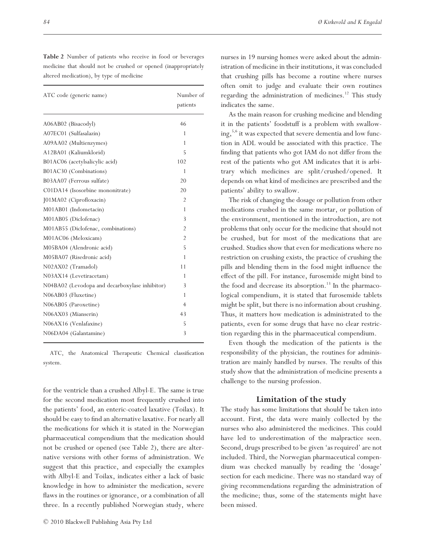| ATC code (generic name)                        | Number of<br>patients |
|------------------------------------------------|-----------------------|
| A06AB02 (Bisacodyl)                            | 46                    |
| A07EC01 (Sulfasalazin)                         | 1                     |
| A09AA02 (Multienzymes)                         | 1                     |
| A12BA01 (Kaliumklorid)                         | 5                     |
| B01AC06 (acetylsalicylic acid)                 | 102                   |
| B01AC30 (Combinations)                         | 1                     |
| B03AA07 (Ferrous sulfate)                      | 20                    |
| C01DA14 (Isosorbine mononitrate)               | 20                    |
| [01MA02 (Ciprofloxacin)                        | $\mathfrak{D}$        |
| M01AB01 (Indometacin)                          | 1                     |
| M01AB05 (Diclofenac)                           | 3                     |
| M01AB55 (Diclofenac, combinations)             | $\overline{2}$        |
| M01AC06 (Meloxicam)                            | $\overline{2}$        |
| M05BA04 (Alendronic acid)                      | 5                     |
| M05BA07 (Risedronic acid)                      | 1                     |
| N02AX02 (Tramadol)                             | 11                    |
| N03AX14 (Levetiracetam)                        | 1                     |
| N04BA02 (Levodopa and decarboxylase inhibitor) | 3                     |
| N06AB03 (Fluxetine)                            | 1                     |
| N06AB05 (Paroxetine)                           | 4                     |
| N06AX03 (Mianserin)                            | 43                    |
| N06AX16 (Venlafaxine)                          | 5                     |
| N06DA04 (Galantamine)                          | 3                     |

**Table 2** Number of patients who receive in food or beverages medicine that should not be crushed or opened (inappropriately altered medication), by type of medicine

ATC, the Anatomical Therapeutic Chemical classification system.

for the ventricle than a crushed Albyl-E. The same is true for the second medication most frequently crushed into the patients' food, an enteric-coated laxative (Toilax). It should be easy to find an alternative laxative. For nearly all the medications for which it is stated in the Norwegian pharmaceutical compendium that the medication should not be crushed or opened (see Table 2), there are alternative versions with other forms of administration. We suggest that this practice, and especially the examples with Albyl-E and Toilax, indicates either a lack of basic knowledge in how to administer the medication, severe flaws in the routines or ignorance, or a combination of all three. In a recently published Norwegian study, where

nurses in 19 nursing homes were asked about the administration of medicine in their institutions, it was concluded that crushing pills has become a routine where nurses often omit to judge and evaluate their own routines regarding the administration of medicines.<sup>12</sup> This study indicates the same.

As the main reason for crushing medicine and blending it in the patients' foodstuff is a problem with swallowing,<sup>5,6</sup> it was expected that severe dementia and low function in ADL would be associated with this practice. The finding that patients who got IAM do not differ from the rest of the patients who got AM indicates that it is arbitrary which medicines are split/crushed/opened. It depends on what kind of medicines are prescribed and the patients' ability to swallow.

The risk of changing the dosage or pollution from other medications crushed in the same mortar, or pollution of the environment, mentioned in the introduction, are not problems that only occur for the medicine that should not be crushed, but for most of the medications that are crushed. Studies show that even for medications where no restriction on crushing exists, the practice of crushing the pills and blending them in the food might influence the effect of the pill. For instance, furosemide might bind to the food and decrease its absorption.<sup>13</sup> In the pharmacological compendium, it is stated that furosemide tablets might be split, but there is no information about crushing. Thus, it matters how medication is administrated to the patients, even for some drugs that have no clear restriction regarding this in the pharmaceutical compendium.

Even though the medication of the patients is the responsibility of the physician, the routines for administration are mainly handled by nurses. The results of this study show that the administration of medicine presents a challenge to the nursing profession.

# **Limitation of the study**

The study has some limitations that should be taken into account. First, the data were mainly collected by the nurses who also administered the medicines. This could have led to underestimation of the malpractice seen. Second, drugs prescribed to be given 'as required' are not included. Third, the Norwegian pharmaceutical compendium was checked manually by reading the 'dosage' section for each medicine. There was no standard way of giving recommendations regarding the administration of the medicine; thus, some of the statements might have been missed.